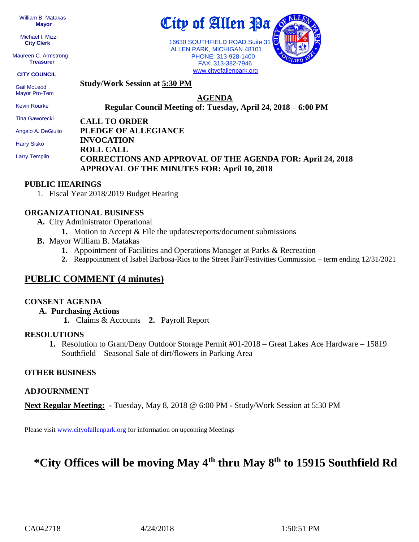William B. Matakas  **Mayor**

 Michael I. Mizzi **City Clerk**

Maureen C. Armstrong **Treasurer**

**CITY COUNCIL**

 Gail McLeod Mayor Pro-Tem Kevin Rourke

**Study/Work Session at 5:30 PM**

**AGENDA**

City of Allen <u>Pa</u>

16630 SOUTHFIELD ROAD Suite 31 ALLEN PARK, MICHIGAN 48101 PHONE: 313-928-1400 FAX: 313-382-7946 [www.cityofallenpark.org](http://www.cityofallenpark.org/)

**Regular Council Meeting of: Tuesday, April 24, 2018 – 6:00 PM** 

**CALL TO ORDER** Tina Gaworecki

Angelo A. DeGiulio

Harry Sisko

Larry Templin

**PLEDGE OF ALLEGIANCE INVOCATION ROLL CALL CORRECTIONS AND APPROVAL OF THE AGENDA FOR: April 24, 2018 APPROVAL OF THE MINUTES FOR: April 10, 2018** 

#### **PUBLIC HEARINGS**

1. Fiscal Year 2018/2019 Budget Hearing

## **ORGANIZATIONAL BUSINESS**

- **A.** City Administrator Operational
	- **1.** Motion to Accept & File the updates/reports/document submissions
- **B.** Mayor William B. Matakas
	- **1.** Appointment of Facilities and Operations Manager at Parks & Recreation
	- **2.** Reappointment of Isabel Barbosa-Rios to the Street Fair/Festivities Commission term ending 12/31/2021

# **PUBLIC COMMENT (4 minutes)**

#### **CONSENT AGENDA**

- **A. Purchasing Actions**
	- **1.** Claims & Accounts **2.** Payroll Report

#### **RESOLUTIONS**

**1.** Resolution to Grant/Deny Outdoor Storage Permit #01-2018 – Great Lakes Ace Hardware – 15819 Southfield – Seasonal Sale of dirt/flowers in Parking Area

## **OTHER BUSINESS**

#### **ADJOURNMENT**

**Next Regular Meeting: -** Tuesday, May 8, 2018 @ 6:00 PM **-** Study/Work Session at 5:30 PM

Please visit [www.cityofallenpark.org](http://www.cityofallenpark.org/) for information on upcoming Meetings

# **\*City Offices will be moving May 4th thru May 8th to 15915 Southfield Rd**